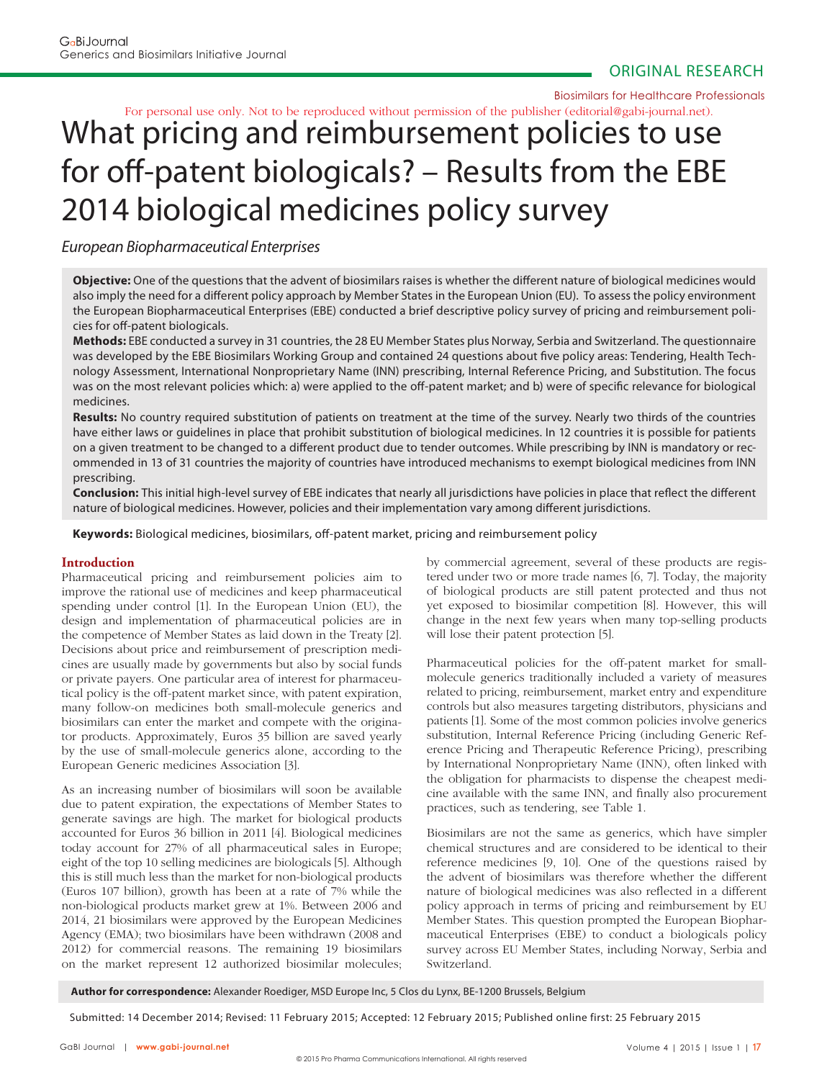Biosimilars for Healthcare Professionals

# What pricing and reimbursement policies to use for off-patent biologicals? – Results from the EBE For personal use only. Not to be reproduced without permission of the publisher (editorial@gabi-journal.net).

# 2014 biological medicines policy survey

European Biopharmaceutical Enterprises

**Objective:** One of the questions that the advent of biosimilars raises is whether the different nature of biological medicines would also imply the need for a different policy approach by Member States in the European Union (EU). To assess the policy environment the European Biopharmaceutical Enterprises (EBE) conducted a brief descriptive policy survey of pricing and reimbursement policies for off-patent biologicals.

**Methods:** EBE conducted a survey in 31 countries, the 28 EU Member States plus Norway, Serbia and Switzerland. The questionnaire was developed by the EBE Biosimilars Working Group and contained 24 questions about five policy areas: Tendering, Health Technology Assessment, International Nonproprietary Name (INN) prescribing, Internal Reference Pricing, and Substitution. The focus was on the most relevant policies which: a) were applied to the off-patent market; and b) were of specific relevance for biological medicines.

**Results:** No country required substitution of patients on treatment at the time of the survey. Nearly two thirds of the countries have either laws or guidelines in place that prohibit substitution of biological medicines. In 12 countries it is possible for patients on a given treatment to be changed to a different product due to tender outcomes. While prescribing by INN is mandatory or recommended in 13 of 31 countries the majority of countries have introduced mechanisms to exempt biological medicines from INN prescribing.

**Conclusion:** This initial high-level survey of EBE indicates that nearly all jurisdictions have policies in place that reflect the different nature of biological medicines. However, policies and their implementation vary among different jurisdictions.

**Keywords:** Biological medicines, biosimilars, off -patent market, pricing and reimbursement policy

## **Introduction**

Pharmaceutical pricing and reimbursement policies aim to improve the rational use of medicines and keep pharmaceutical spending under control [1]. In the European Union (EU), the design and implementation of pharmaceutical policies are in the competence of Member States as laid down in the Treaty [2]. Decisions about price and reimbursement of prescription medicines are usually made by governments but also by social funds or private payers. One particular area of interest for pharmaceutical policy is the off-patent market since, with patent expiration, many follow-on medicines both small-molecule generics and biosimilars can enter the market and compete with the originator products. Approximately, Euros 35 billion are saved yearly by the use of small-molecule generics alone, according to the European Generic medicines Association [3].

As an increasing number of biosimilars will soon be available due to patent expiration, the expectations of Member States to generate savings are high. The market for biological products accounted for Euros 36 billion in 2011 [4]. Biological medicines today account for 27% of all pharmaceutical sales in Europe; eight of the top 10 selling medicines are biologicals [5]. Although this is still much less than the market for non-biological products (Euros 107 billion), growth has been at a rate of 7% while the non-biological products market grew at 1%. Between 2006 and 2014, 21 biosimilars were approved by the European Medicines Agency (EMA); two biosimilars have been withdrawn (2008 and 2012) for commercial reasons. The remaining 19 biosimilars on the market represent 12 authorized biosimilar molecules;

by commercial agreement, several of these products are registered under two or more trade names [6, 7]. Today, the majority of biological products are still patent protected and thus not yet exposed to biosimilar competition [8]. However, this will change in the next few years when many top-selling products will lose their patent protection [5].

Pharmaceutical policies for the off-patent market for smallmolecule generics traditionally included a variety of measures related to pricing, reimbursement, market entry and expenditure controls but also measures targeting distributors, physicians and patients [1]. Some of the most common policies involve generics substitution, Internal Reference Pricing (including Generic Reference Pricing and Therapeutic Reference Pricing), prescribing by International Nonproprietary Name (INN), often linked with the obligation for pharmacists to dispense the cheapest medicine available with the same INN, and finally also procurement practices, such as tendering, see Table 1.

Biosimilars are not the same as generics, which have simpler chemical structures and are considered to be identical to their reference medicines [9, 10]. One of the questions raised by the advent of biosimilars was therefore whether the different nature of biological medicines was also reflected in a different policy approach in terms of pricing and reimbursement by EU Member States. This question prompted the European Biopharmaceutical Enterprises (EBE) to conduct a biologicals policy survey across EU Member States, including Norway, Serbia and Switzerland.

**Author for correspondence:** Alexander Roediger, MSD Europe Inc, 5 Clos du Lynx, BE-1200 Brussels, Belgium

Submitted: 14 December 2014; Revised: 11 February 2015; Accepted: 12 February 2015; Published online first: 25 February 2015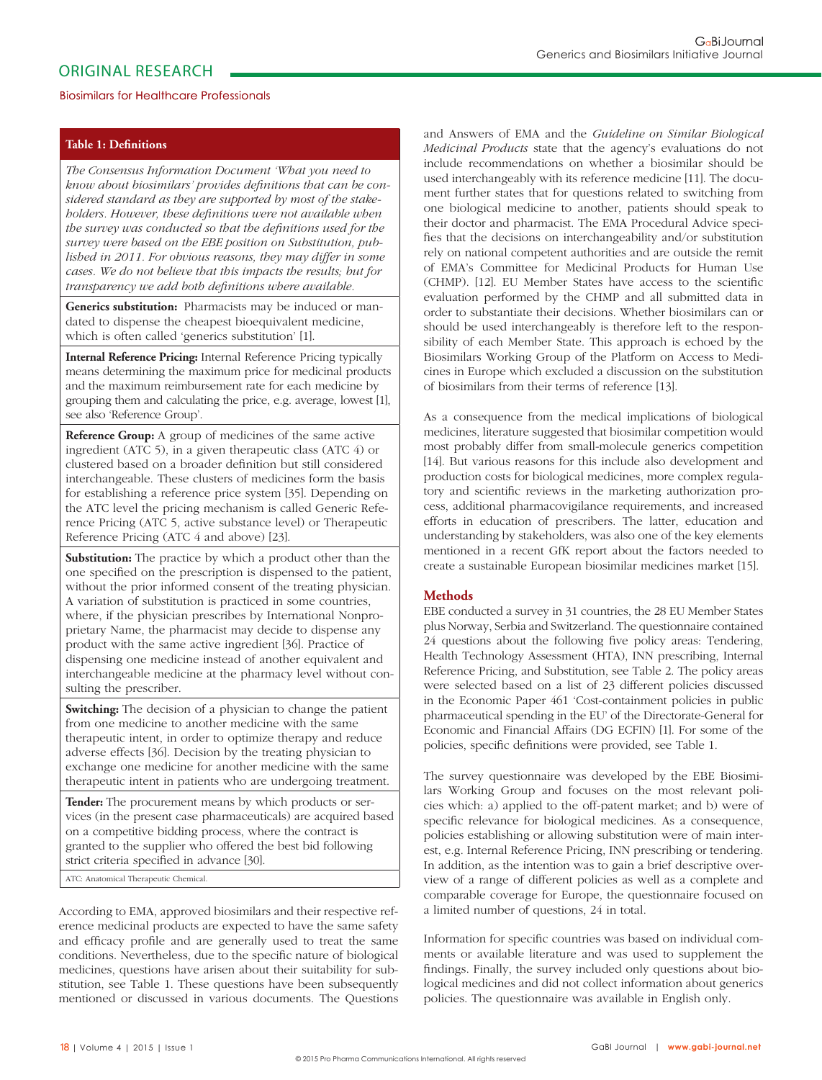## Biosimilars for Healthcare Professionals

## **Table 1: Definitions**

*The Consensus Information Document 'What you need to*  know about biosimilars' provides definitions that can be con*sidered standard as they are supported by most of the stakeholders. However, these definitions were not available when* the survey was conducted so that the definitions used for the *survey were based on the EBE position on Substitution, published in 2011. For obvious reasons, they may differ in some cases. We do not believe that this impacts the results; but for transparency we add both definitions where available.* 

**Generics substitution:** Pharmacists may be induced or mandated to dispense the cheapest bioequivalent medicine, which is often called 'generics substitution' [1].

**Internal Reference Pricing:** Internal Reference Pricing typically means determining the maximum price for medicinal products and the maximum reimbursement rate for each medicine by grouping them and calculating the price, e.g. average, lowest [1], see also 'Reference Group'.

**Reference Group:** A group of medicines of the same active ingredient (ATC 5), in a given therapeutic class (ATC 4) or clustered based on a broader definition but still considered interchangeable. These clusters of medicines form the basis for establishing a reference price system [35]. Depending on the ATC level the pricing mechanism is called Generic Reference Pricing (ATC 5, active substance level) or Therapeutic Reference Pricing (ATC 4 and above) [23].

**Substitution:** The practice by which a product other than the one specified on the prescription is dispensed to the patient, without the prior informed consent of the treating physician. A variation of substitution is practiced in some countries, where, if the physician prescribes by International Nonproprietary Name, the pharmacist may decide to dispense any product with the same active ingredient [36]. Practice of dispensing one medicine instead of another equivalent and interchangeable medicine at the pharmacy level without consulting the prescriber.

**Switching:** The decision of a physician to change the patient from one medicine to another medicine with the same therapeutic intent, in order to optimize therapy and reduce adverse effects [36]. Decision by the treating physician to exchange one medicine for another medicine with the same therapeutic intent in patients who are undergoing treatment.

**Tender:** The procurement means by which products or services (in the present case pharmaceuticals) are acquired based on a competitive bidding process, where the contract is granted to the supplier who offered the best bid following strict criteria specified in advance [30].

ATC: Anatomical Therapeutic Chemical.

According to EMA, approved biosimilars and their respective reference medicinal products are expected to have the same safety and efficacy profile and are generally used to treat the same conditions. Nevertheless, due to the specific nature of biological medicines, questions have arisen about their suitability for substitution, see Table 1. These questions have been subsequently mentioned or discussed in various documents. The Questions and Answers of EMA and the *Guideline on Similar Biological Medicinal Products* state that the agency's evaluations do not include recommendations on whether a biosimilar should be used interchangeably with its reference medicine [11]. The document further states that for questions related to switching from one biological medicine to another, patients should speak to their doctor and pharmacist. The EMA Procedural Advice specifies that the decisions on interchangeability and/or substitution rely on national competent authorities and are outside the remit of EMA's Committee for Medicinal Products for Human Use (CHMP). [12]. EU Member States have access to the scientific evaluation performed by the CHMP and all submitted data in order to substantiate their decisions. Whether biosimilars can or should be used interchangeably is therefore left to the responsibility of each Member State. This approach is echoed by the Biosimilars Working Group of the Platform on Access to Medicines in Europe which excluded a discussion on the substitution of biosimilars from their terms of reference [13].

As a consequence from the medical implications of biological medicines, literature suggested that biosimilar competition would most probably differ from small-molecule generics competition [14]. But various reasons for this include also development and production costs for biological medicines, more complex regulatory and scientific reviews in the marketing authorization process, additional pharmacovigilance requirements, and increased efforts in education of prescribers. The latter, education and understanding by stakeholders, was also one of the key elements mentioned in a recent GfK report about the factors needed to create a sustainable European biosimilar medicines market [15].

## **Methods**

EBE conducted a survey in 31 countries, the 28 EU Member States plus Norway, Serbia and Switzerland. The questionnaire contained 24 questions about the following five policy areas: Tendering, Health Technology Assessment (HTA), INN prescribing, Internal Reference Pricing, and Substitution, see Table 2. The policy areas were selected based on a list of 23 different policies discussed in the Economic Paper 461 'Cost-containment policies in public pharmaceutical spending in the EU' of the Directorate- General for Economic and Financial Affairs (DG ECFIN) [1]. For some of the policies, specific definitions were provided, see Table 1.

The survey questionnaire was developed by the EBE Biosimilars Working Group and focuses on the most relevant policies which: a) applied to the off-patent market; and b) were of specific relevance for biological medicines. As a consequence, policies establishing or allowing substitution were of main interest, e.g. Internal Reference Pricing, INN prescribing or tendering. In addition, as the intention was to gain a brief descriptive overview of a range of different policies as well as a complete and comparable coverage for Europe, the questionnaire focused on a limited number of questions, 24 in total.

Information for specific countries was based on individual comments or available literature and was used to supplement the findings. Finally, the survey included only questions about biological medicines and did not collect information about generics policies. The questionnaire was available in English only.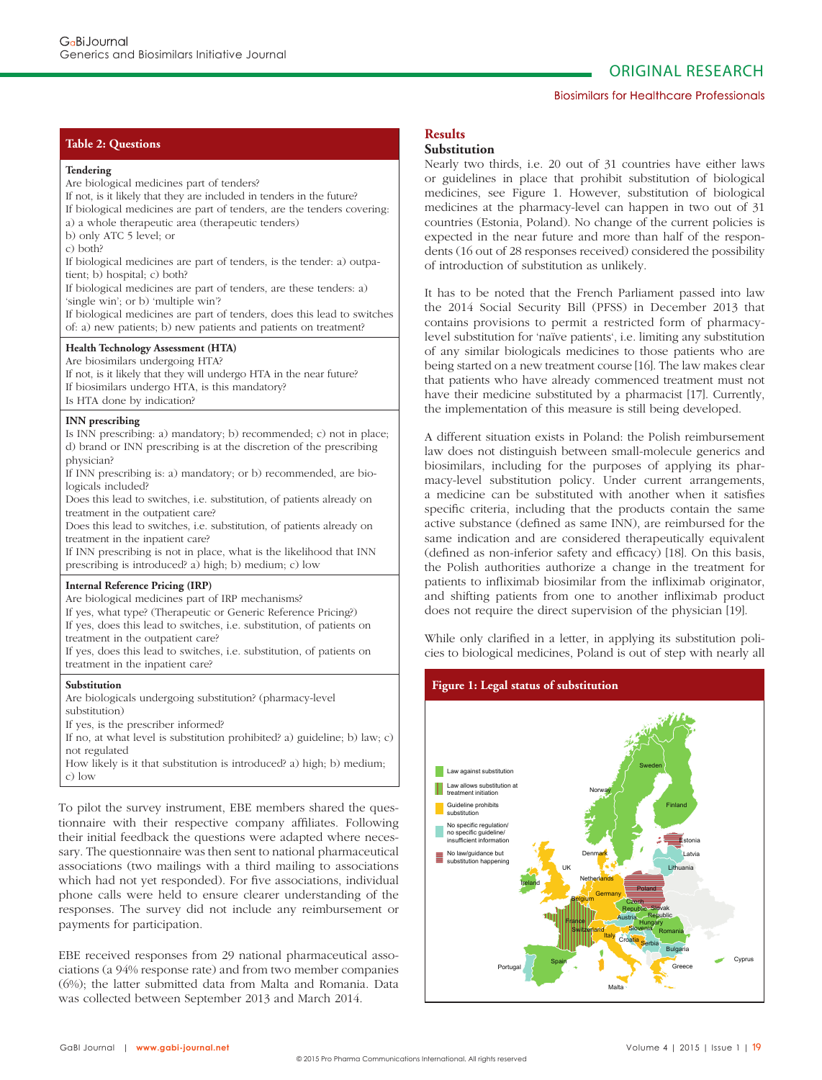#### Biosimilars for Healthcare Professionals

## **Table 2: Questions**

#### **Tendering**

Are biological medicines part of tenders? If not, is it likely that they are included in tenders in the future? If biological medicines are part of tenders, are the tenders covering: a) a whole therapeutic area (therapeutic tenders) b) only ATC 5 level; or c) both? If biological medicines are part of tenders, is the tender: a) outpatient; b) hospital; c) both? If biological medicines are part of tenders, are these tenders: a) 'single win'; or b) 'multiple win'? If biological medicines are part of tenders, does this lead to switches of: a) new patients; b) new patients and patients on treatment? **Health Technology Assessment (HTA)** Are biosimilars undergoing HTA? If not, is it likely that they will undergo HTA in the near future? If biosimilars undergo HTA, is this mandatory? Is HTA done by indication? **INN prescribing** Is INN prescribing: a) mandatory; b) recommended; c) not in place; d) brand or INN prescribing is at the discretion of the prescribing physician? If INN prescribing is: a) mandatory; or b) recommended, are biologicals included?

Does this lead to switches, i.e. substitution, of patients already on treatment in the outpatient care?

Does this lead to switches, i.e. substitution, of patients already on treatment in the inpatient care?

If INN prescribing is not in place, what is the likelihood that INN prescribing is introduced? a) high; b) medium; c) low

#### **Internal Reference Pricing (IRP)**

Are biological medicines part of IRP mechanisms?

If yes, what type? (Therapeutic or Generic Reference Pricing?) If yes, does this lead to switches, i.e. substitution, of patients on

treatment in the outpatient care?

If yes, does this lead to switches, i.e. substitution, of patients on treatment in the inpatient care?

#### **Substitution**

Are biologicals undergoing substitution? (pharmacy-level substitution)

If yes, is the prescriber informed?

If no, at what level is substitution prohibited? a) guideline; b) law; c) not regulated

How likely is it that substitution is introduced? a) high; b) medium; c) low

To pilot the survey instrument, EBE members shared the questionnaire with their respective company affiliates. Following their initial feedback the questions were adapted where necessary. The questionnaire was then sent to national pharmaceutical associations (two mailings with a third mailing to associations which had not yet responded). For five associations, individual phone calls were held to ensure clearer understanding of the responses. The survey did not include any reimbursement or payments for participation.

EBE received responses from 29 national pharmaceutical associations (a 94% response rate) and from two member companies (6%); the latter submitted data from Malta and Romania. Data was collected between September 2013 and March 2014.

# **Results**

# **Substitution**

Nearly two thirds, i.e. 20 out of 31 countries have either laws or guidelines in place that prohibit substitution of biological medicines, see Figure 1. However, substitution of biological medicines at the pharmacy-level can happen in two out of 31 countries (Estonia, Poland). No change of the current policies is expected in the near future and more than half of the respondents (16 out of 28 responses received) considered the possibility of introduction of substitution as unlikely.

It has to be noted that the French Parliament passed into law the 2014 Social Security Bill (PFSS) in December 2013 that contains provisions to permit a restricted form of pharmacylevel substitution for 'naïve patients', i.e. limiting any substitution of any similar biologicals medicines to those patients who are being started on a new treatment course [16]. The law makes clear that patients who have already commenced treatment must not have their medicine substituted by a pharmacist [17]. Currently, the implementation of this measure is still being developed.

A different situation exists in Poland: the Polish reimbursement law does not distinguish between small-molecule generics and biosimilars, including for the purposes of applying its pharmacy-level substitution policy. Under current arrangements, a medicine can be substituted with another when it satisfies specific criteria, including that the products contain the same active substance (defined as same INN), are reimbursed for the same indication and are considered therapeutically equivalent (defined as non-inferior safety and efficacy)  $[18]$ . On this basis, the Polish authorities authorize a change in the treatment for patients to infliximab biosimilar from the infliximab originator, and shifting patients from one to another infliximab product does not require the direct supervision of the physician [19].

While only clarified in a letter, in applying its substitution policies to biological medicines, Poland is out of step with nearly all

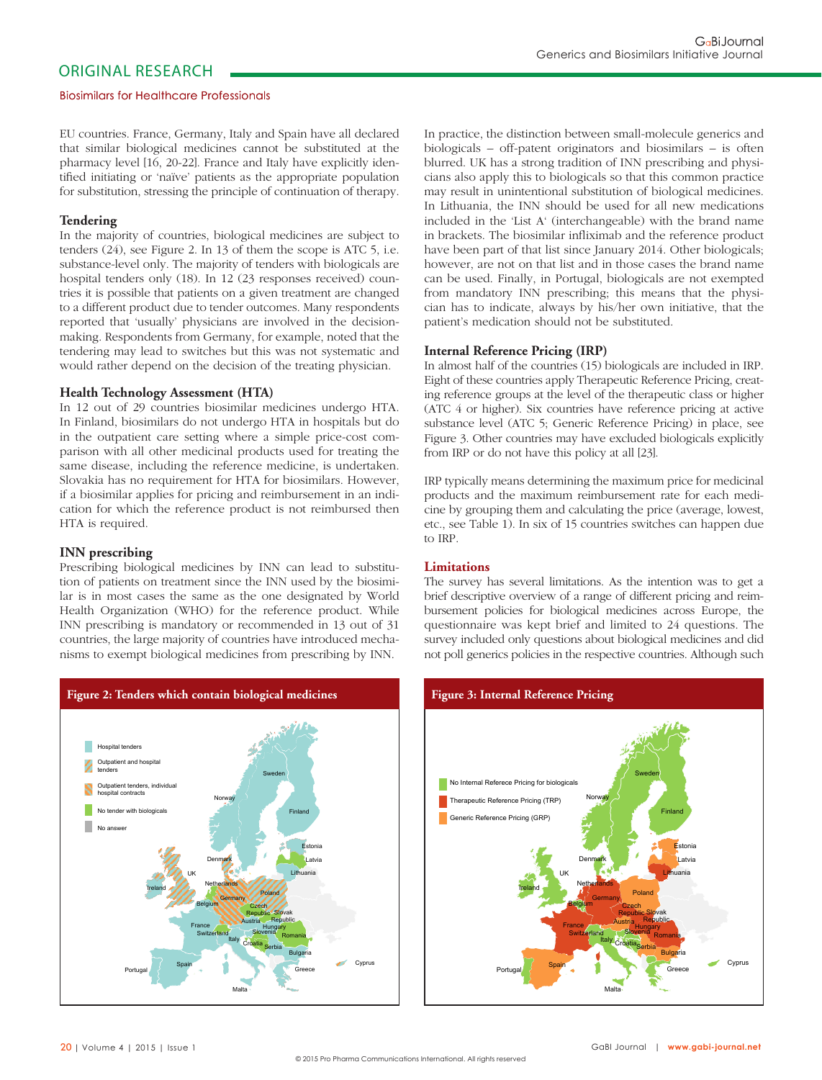#### Biosimilars for Healthcare Professionals

EU countries. France, Germany, Italy and Spain have all declared that similar biological medicines cannot be substituted at the pharmacy level [16, 20-22]. France and Italy have explicitly identified initiating or 'naïve' patients as the appropriate population for substitution, stressing the principle of continuation of therapy.

#### **Tendering**

In the majority of countries, biological medicines are subject to tenders (24), see Figure 2. In 13 of them the scope is ATC 5, i.e. substance-level only. The majority of tenders with biologicals are hospital tenders only (18). In 12 (23 responses received) countries it is possible that patients on a given treatment are changed to a different product due to tender outcomes. Many respondents reported that 'usually' physicians are involved in the decisionmaking. Respondents from Germany, for example, noted that the tendering may lead to switches but this was not systematic and would rather depend on the decision of the treating physician.

### **Health Technology Assessment (HTA)**

In 12 out of 29 countries biosimilar medicines undergo HTA. In Finland, biosimilars do not undergo HTA in hospitals but do in the outpatient care setting where a simple price-cost comparison with all other medicinal products used for treating the same disease, including the reference medicine, is undertaken. Slovakia has no requirement for HTA for biosimilars. However, if a biosimilar applies for pricing and reimbursement in an indication for which the reference product is not reimbursed then HTA is required.

## **INN prescribing**

Prescribing biological medicines by INN can lead to substitution of patients on treatment since the INN used by the biosimilar is in most cases the same as the one designated by World Health Organization (WHO) for the reference product. While INN prescribing is mandatory or recommended in 13 out of 31 countries, the large majority of countries have introduced mechanisms to exempt biological medicines from prescribing by INN.



In practice, the distinction between small-molecule generics and biologicals – off-patent originators and biosimilars – is often blurred. UK has a strong tradition of INN prescribing and physicians also apply this to biologicals so that this common practice may result in unintentional substitution of biological medicines. In Lithuania, the INN should be used for all new medications included in the 'List A' (interchangeable) with the brand name in brackets. The biosimilar infliximab and the reference product have been part of that list since January 2014. Other biologicals; however, are not on that list and in those cases the brand name can be used. Finally, in Portugal, biologicals are not exempted from mandatory INN prescribing; this means that the physician has to indicate, always by his/her own initiative, that the patient's medication should not be substituted.

#### **Internal Reference Pricing (IRP)**

In almost half of the countries (15) biologicals are included in IRP. Eight of these countries apply Therapeutic Reference Pricing, creating reference groups at the level of the therapeutic class or higher (ATC 4 or higher). Six countries have reference pricing at active substance level (ATC 5; Generic Reference Pricing) in place, see Figure 3. Other countries may have excluded biologicals explicitly from IRP or do not have this policy at all [23].

IRP typically means determining the maximum price for medicinal products and the maximum reimbursement rate for each medicine by grouping them and calculating the price (average, lowest, etc., see Table 1). In six of 15 countries switches can happen due to IRP.

### **Limitations**

The survey has several limitations. As the intention was to get a brief descriptive overview of a range of different pricing and reimbursement policies for biological medicines across Europe, the questionnaire was kept brief and limited to 24 questions. The survey included only questions about biological medicines and did not poll generics policies in the respective countries. Although such

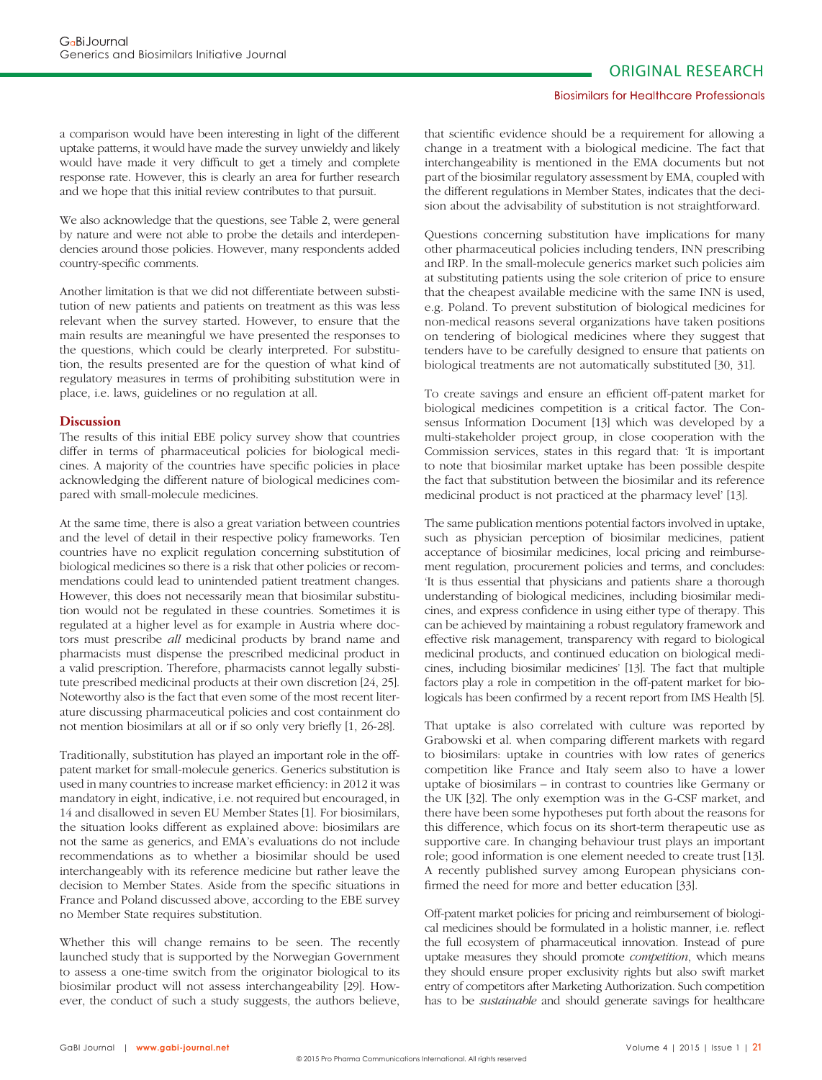#### Biosimilars for Healthcare Professionals

a comparison would have been interesting in light of the different uptake patterns, it would have made the survey unwieldy and likely would have made it very difficult to get a timely and complete response rate. However, this is clearly an area for further research and we hope that this initial review contributes to that pursuit.

We also acknowledge that the questions, see Table 2, were general by nature and were not able to probe the details and interdependencies around those policies. However, many respondents added country-specific comments.

Another limitation is that we did not differentiate between substitution of new patients and patients on treatment as this was less relevant when the survey started. However, to ensure that the main results are meaningful we have presented the responses to the questions, which could be clearly interpreted. For substitution, the results presented are for the question of what kind of regulatory measures in terms of prohibiting substitution were in place, i.e. laws, guidelines or no regulation at all.

#### **Discussion**

The results of this initial EBE policy survey show that countries differ in terms of pharmaceutical policies for biological medicines. A majority of the countries have specific policies in place acknowledging the different nature of biological medicines compared with small-molecule medicines.

At the same time, there is also a great variation between countries and the level of detail in their respective policy frameworks. Ten countries have no explicit regulation concerning substitution of biological medicines so there is a risk that other policies or recommendations could lead to unintended patient treatment changes. However, this does not necessarily mean that biosimilar substitution would not be regulated in these countries. Sometimes it is regulated at a higher level as for example in Austria where doctors must prescribe *all* medicinal products by brand name and pharmacists must dispense the prescribed medicinal product in a valid prescription. Therefore, pharmacists cannot legally substitute prescribed medicinal products at their own discretion [24, 25]. Noteworthy also is the fact that even some of the most recent literature discussing pharmaceutical policies and cost containment do not mention biosimilars at all or if so only very briefly [1, 26-28].

Traditionally, substitution has played an important role in the offpatent market for small-molecule generics. Generics substitution is used in many countries to increase market efficiency: in 2012 it was mandatory in eight, indicative, i.e. not required but encouraged, in 14 and disallowed in seven EU Member States [1]. For biosimilars, the situation looks different as explained above: biosimilars are not the same as generics, and EMA's evaluations do not include recommendations as to whether a biosimilar should be used interchangeably with its reference medicine but rather leave the decision to Member States. Aside from the specific situations in France and Poland discussed above, according to the EBE survey no Member State requires substitution.

Whether this will change remains to be seen. The recently launched study that is supported by the Norwegian Government to assess a one-time switch from the originator biological to its biosimilar product will not assess interchangeability [29]. However, the conduct of such a study suggests, the authors believe,

that scientific evidence should be a requirement for allowing a change in a treatment with a biological medicine. The fact that interchangeability is mentioned in the EMA documents but not part of the biosimilar regulatory assessment by EMA, coupled with the different regulations in Member States, indicates that the decision about the advisability of substitution is not straightforward.

Questions concerning substitution have implications for many other pharmaceutical policies including tenders, INN prescribing and IRP. In the small-molecule generics market such policies aim at substituting patients using the sole criterion of price to ensure that the cheapest available medicine with the same INN is used, e.g. Poland. To prevent substitution of biological medicines for non-medical reasons several organizations have taken positions on tendering of biological medicines where they suggest that tenders have to be carefully designed to ensure that patients on biological treatments are not automatically substituted [30, 31].

To create savings and ensure an efficient off-patent market for biological medicines competition is a critical factor. The Consensus Information Document [13] which was developed by a multi-stakeholder project group, in close cooperation with the Commission services, states in this regard that: 'It is important to note that biosimilar market uptake has been possible despite the fact that substitution between the biosimilar and its reference medicinal product is not practiced at the pharmacy level' [13].

The same publication mentions potential factors involved in uptake, such as physician perception of biosimilar medicines, patient acceptance of biosimilar medicines, local pricing and reimbursement regulation, procurement policies and terms, and concludes: 'It is thus essential that physicians and patients share a thorough understanding of biological medicines, including biosimilar medicines, and express confidence in using either type of therapy. This can be achieved by maintaining a robust regulatory framework and effective risk management, transparency with regard to biological medicinal products, and continued education on biological medicines, including biosimilar medicines' [13]. The fact that multiple factors play a role in competition in the off-patent market for biologicals has been confirmed by a recent report from IMS Health [5].

That uptake is also correlated with culture was reported by Grabowski et al. when comparing different markets with regard to biosimilars: uptake in countries with low rates of generics competition like France and Italy seem also to have a lower uptake of biosimilars – in contrast to countries like Germany or the UK [32]. The only exemption was in the G-CSF market, and there have been some hypotheses put forth about the reasons for this difference, which focus on its short-term therapeutic use as supportive care. In changing behaviour trust plays an important role; good information is one element needed to create trust [13]. A recently published survey among European physicians confirmed the need for more and better education [33].

Off-patent market policies for pricing and reimbursement of biological medicines should be formulated in a holistic manner, i.e. reflect the full ecosystem of pharmaceutical innovation. Instead of pure uptake measures they should promote *competition*, which means they should ensure proper exclusivity rights but also swift market entry of competitors after Marketing Authorization. Such competition has to be *sustainable* and should generate savings for healthcare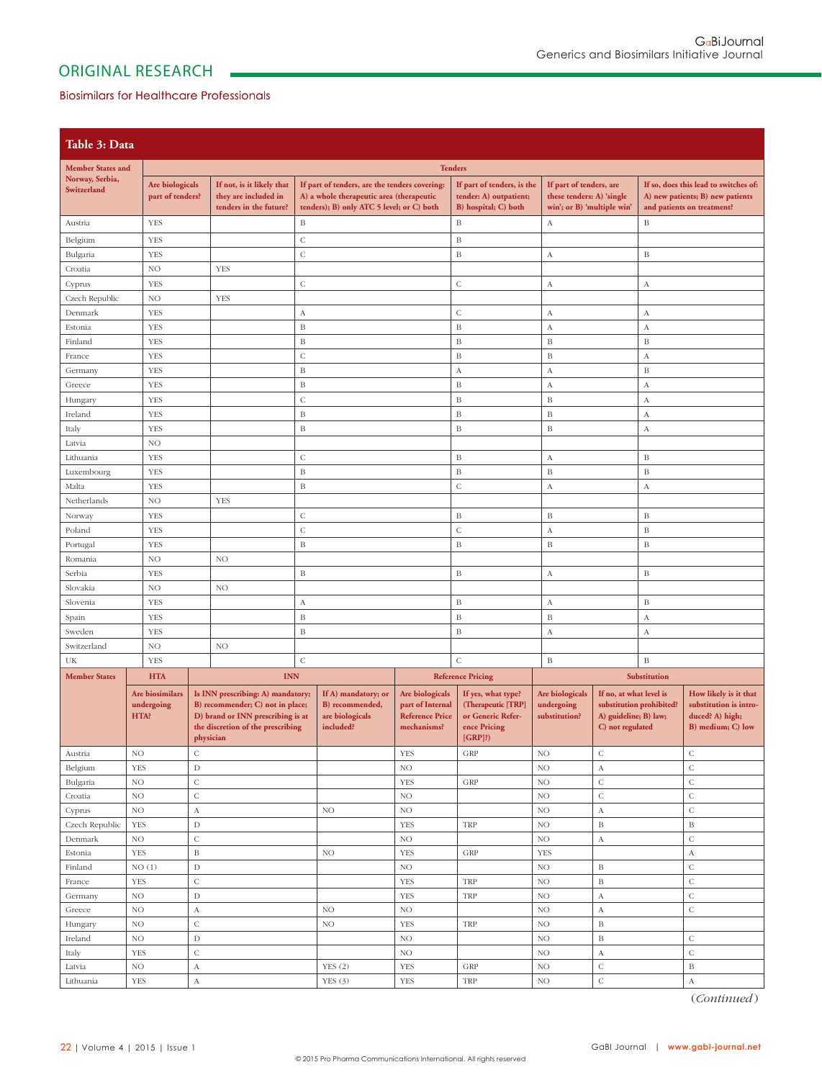## Biosimilars for Healthcare Professionals

| Table 3: Data                              |                                            |                                                                                                                                                              |                           |                              |                                                                             |                                                                              |                                                                                             |                                                |                                                                      |                                           |                                                                                         |  |
|--------------------------------------------|--------------------------------------------|--------------------------------------------------------------------------------------------------------------------------------------------------------------|---------------------------|------------------------------|-----------------------------------------------------------------------------|------------------------------------------------------------------------------|---------------------------------------------------------------------------------------------|------------------------------------------------|----------------------------------------------------------------------|-------------------------------------------|-----------------------------------------------------------------------------------------|--|
| <b>Tenders</b><br><b>Member States and</b> |                                            |                                                                                                                                                              |                           |                              |                                                                             |                                                                              |                                                                                             |                                                |                                                                      |                                           |                                                                                         |  |
| Norway, Serbia,                            | Are biologicals                            |                                                                                                                                                              | If not, is it likely that |                              | If part of tenders, is the<br>If part of tenders, are the tenders covering: |                                                                              |                                                                                             |                                                |                                                                      |                                           | If so, does this lead to switches of:                                                   |  |
| Switzerland                                | part of tenders?                           |                                                                                                                                                              | they are included in      |                              | A) a whole therapeutic area (therapeutic                                    |                                                                              | tender: A) outpatient;                                                                      |                                                | If part of tenders, are<br>these tenders: A) 'single                 |                                           | A) new patients; B) new patients                                                        |  |
|                                            |                                            |                                                                                                                                                              | tenders in the future?    |                              | tenders); B) only ATC 5 level; or C) both                                   |                                                                              | B) hospital; C) both                                                                        | win'; or B) 'multiple win'                     |                                                                      | and patients on treatment?                |                                                                                         |  |
| Austria                                    | <b>YES</b>                                 |                                                                                                                                                              |                           | $\, {\bf B}$                 |                                                                             | $\, {\bf B}$                                                                 |                                                                                             | A                                              |                                                                      | $\, {\bf B}$                              |                                                                                         |  |
| Belgium                                    | <b>YES</b>                                 |                                                                                                                                                              |                           | $\mathsf{C}$                 |                                                                             | $\, {\bf B}$                                                                 |                                                                                             |                                                |                                                                      |                                           |                                                                                         |  |
| Bulgaria                                   | <b>YES</b>                                 |                                                                                                                                                              |                           | $\mathsf C$                  |                                                                             |                                                                              | $\, {\bf B}$                                                                                | $\boldsymbol{A}$                               |                                                                      | $\, {\bf B}$                              |                                                                                         |  |
| Croatia                                    | NO                                         |                                                                                                                                                              | <b>YES</b>                |                              |                                                                             |                                                                              |                                                                                             |                                                |                                                                      |                                           |                                                                                         |  |
| Cyprus                                     | <b>YES</b>                                 |                                                                                                                                                              |                           | $\mathsf C$                  |                                                                             |                                                                              | $\mathsf C$                                                                                 | $\boldsymbol{A}$                               |                                                                      | $\boldsymbol{\mathrm{A}}$                 |                                                                                         |  |
| Czech Republic                             | NO                                         |                                                                                                                                                              | <b>YES</b>                |                              |                                                                             |                                                                              |                                                                                             |                                                |                                                                      |                                           |                                                                                         |  |
| Denmark                                    | <b>YES</b>                                 |                                                                                                                                                              |                           | А                            |                                                                             |                                                                              | $\mathsf C$                                                                                 | $\boldsymbol{A}$                               |                                                                      | $\boldsymbol{A}$                          |                                                                                         |  |
| Estonia                                    | <b>YES</b>                                 |                                                                                                                                                              |                           | $\, {\bf B}$                 |                                                                             |                                                                              | $\, {\bf B}$<br>$\, {\bf B}$                                                                |                                                | $\boldsymbol{A}$                                                     |                                           | $\boldsymbol{\mathrm{A}}$                                                               |  |
| Finland                                    | <b>YES</b>                                 |                                                                                                                                                              |                           | $\, {\bf B}$                 |                                                                             | $\, {\bf B}$                                                                 |                                                                                             | $\, {\bf B}$                                   |                                                                      | $\, {\bf B}$                              |                                                                                         |  |
| France                                     | <b>YES</b>                                 |                                                                                                                                                              |                           | $\mathsf C$                  |                                                                             |                                                                              |                                                                                             | $\, {\bf B}$                                   |                                                                      | $\boldsymbol{\mathrm{A}}$<br>$\, {\bf B}$ |                                                                                         |  |
| Germany<br>Greece                          | <b>YES</b><br><b>YES</b>                   |                                                                                                                                                              |                           | $\, {\bf B}$<br>$\, {\bf B}$ |                                                                             |                                                                              | $_{\rm A}$<br>$\, {\bf B}$                                                                  | $\boldsymbol{A}$<br>$\boldsymbol{A}$           |                                                                      | $\boldsymbol{\mathrm{A}}$                 |                                                                                         |  |
| Hungary                                    | <b>YES</b>                                 |                                                                                                                                                              |                           | $\overline{C}$               |                                                                             |                                                                              | $\, {\bf B}$                                                                                | $\, {\bf B}$                                   |                                                                      | $\boldsymbol{\mathrm{A}}$                 |                                                                                         |  |
| Ireland                                    | <b>YES</b>                                 |                                                                                                                                                              |                           | $\mathbf B$                  |                                                                             |                                                                              | $\, {\bf B}$                                                                                | $\, {\bf B}$                                   |                                                                      | $\boldsymbol{\mathrm{A}}$                 |                                                                                         |  |
| Italy                                      | <b>YES</b>                                 |                                                                                                                                                              | $\, {\bf B}$              |                              |                                                                             |                                                                              | $\, {\bf B}$                                                                                | $\, {\bf B}$                                   |                                                                      | $\Lambda$                                 |                                                                                         |  |
| Latvia                                     | NO                                         |                                                                                                                                                              |                           |                              |                                                                             |                                                                              |                                                                                             |                                                |                                                                      |                                           |                                                                                         |  |
| Lithuania                                  | <b>YES</b>                                 |                                                                                                                                                              |                           | $\mathsf C$                  |                                                                             |                                                                              | $\, {\bf B}$                                                                                | А                                              |                                                                      | $\, {\bf B}$                              |                                                                                         |  |
| Luxembourg                                 | <b>YES</b>                                 |                                                                                                                                                              |                           | B                            |                                                                             |                                                                              | $\, {\bf B}$                                                                                | $\, {\bf B}$                                   |                                                                      | $\, {\bf B}$                              |                                                                                         |  |
| Malta                                      | <b>YES</b>                                 |                                                                                                                                                              |                           | $\, {\bf B}$                 |                                                                             |                                                                              | $\mathsf C$                                                                                 | $\boldsymbol{A}$                               |                                                                      | $\boldsymbol{\mathrm{A}}$                 |                                                                                         |  |
| Netherlands                                | NO                                         |                                                                                                                                                              | <b>YES</b>                |                              |                                                                             |                                                                              |                                                                                             |                                                |                                                                      |                                           |                                                                                         |  |
| Norway                                     | <b>YES</b>                                 |                                                                                                                                                              |                           | $\mathsf C$                  |                                                                             |                                                                              | $\, {\bf B}$                                                                                | $\mathbf B$                                    |                                                                      | $\, {\bf B}$                              |                                                                                         |  |
| Poland                                     | <b>YES</b>                                 |                                                                                                                                                              |                           | $\mathsf C$                  |                                                                             |                                                                              | $\mathsf C$                                                                                 | $\boldsymbol{A}$                               |                                                                      | $\, {\bf B}$                              |                                                                                         |  |
| Portugal                                   | <b>YES</b>                                 |                                                                                                                                                              |                           | B                            |                                                                             |                                                                              | $\, {\bf B}$                                                                                | $\mathbf B$                                    |                                                                      | $\, {\bf B}$                              |                                                                                         |  |
| Romania                                    | NO                                         |                                                                                                                                                              | NO                        |                              |                                                                             |                                                                              |                                                                                             |                                                |                                                                      |                                           |                                                                                         |  |
| Serbia                                     | <b>YES</b>                                 |                                                                                                                                                              |                           | B                            |                                                                             |                                                                              | $\, {\bf B}$                                                                                | $\boldsymbol{A}$                               |                                                                      | $\, {\bf B}$                              |                                                                                         |  |
| Slovakia                                   | NO                                         |                                                                                                                                                              | NO                        |                              |                                                                             |                                                                              |                                                                                             |                                                |                                                                      |                                           |                                                                                         |  |
| Slovenia                                   | <b>YES</b>                                 |                                                                                                                                                              |                           | А                            |                                                                             |                                                                              | $\, {\bf B}$                                                                                | $\boldsymbol{\mathrm{A}}$                      |                                                                      | $\, {\bf B}$                              |                                                                                         |  |
| Spain                                      | <b>YES</b>                                 |                                                                                                                                                              |                           | $\, {\bf B}$                 |                                                                             |                                                                              | $\, {\bf B}$                                                                                | $\, {\bf B}$                                   |                                                                      | $\boldsymbol{\mathrm{A}}$                 |                                                                                         |  |
| Sweden                                     | <b>YES</b>                                 |                                                                                                                                                              |                           | $\, {\bf B}$                 |                                                                             |                                                                              | $\, {\bf B}$                                                                                | $\boldsymbol{A}$                               |                                                                      | $\boldsymbol{\mathrm{A}}$                 |                                                                                         |  |
| Switzerland                                | NO                                         |                                                                                                                                                              | NO                        |                              |                                                                             |                                                                              |                                                                                             |                                                |                                                                      |                                           |                                                                                         |  |
| UK                                         | <b>YES</b>                                 |                                                                                                                                                              |                           | $\mathsf C$                  |                                                                             |                                                                              | $\mathsf C$                                                                                 | $\mathbf B$                                    |                                                                      | $\, {\bf B}$                              |                                                                                         |  |
| <b>Member States</b>                       | <b>HTA</b>                                 |                                                                                                                                                              | <b>INN</b>                |                              |                                                                             |                                                                              | <b>Reference Pricing</b>                                                                    |                                                | Substitution                                                         |                                           |                                                                                         |  |
|                                            | Are biosimilars<br>undergoing<br>HTA?      | Is INN prescribing: A) mandatory;<br>B) recommender; C) not in place;<br>D) brand or INN prescribing is at<br>the discretion of the prescribing<br>physician |                           |                              | If A) mandatory; or<br>B) recommended,<br>are biologicals<br>included?      | Are biologicals<br>part of Internal<br><b>Reference Price</b><br>mechanisms? | If yes, what type?<br>(Therapeutic [TRP]<br>or Generic Refer-<br>ence Pricing<br>$[GRP]$ ?) | Are biologicals<br>undergoing<br>substitution? | If no, at what level is<br>A) guideline; B) law;<br>C) not regulated | substitution prohibited?                  | How likely is it that<br>substitution is intro-<br>duced? A) high;<br>B) medium; C) low |  |
| Austria                                    | NO                                         | $\mathsf{C}$                                                                                                                                                 |                           |                              |                                                                             | <b>YES</b>                                                                   | GRP                                                                                         | $_{\rm NO}$                                    | $\mathsf{C}$                                                         |                                           | $\mathsf C$                                                                             |  |
| Belgium                                    | <b>YES</b><br>$\mathbf D$                  |                                                                                                                                                              |                           |                              |                                                                             | $_{\rm NO}$                                                                  |                                                                                             | $\rm NO$                                       | A                                                                    |                                           | $\mathsf C$                                                                             |  |
| Bulgaria                                   | $_{\rm NO}$                                |                                                                                                                                                              | $\mathsf C$               |                              |                                                                             | <b>YES</b>                                                                   | GRP                                                                                         | $\rm NO$                                       | $\mathsf C$                                                          |                                           | $\mathsf C$                                                                             |  |
| Croatia                                    | $_{\rm NO}$                                |                                                                                                                                                              | $\bar{C}$                 |                              | NO                                                                          |                                                                              |                                                                                             | $\rm NO$                                       | $\mathsf C$                                                          |                                           | $\mathsf C$                                                                             |  |
| Cyprus                                     | $_{\rm NO}$                                |                                                                                                                                                              | $\boldsymbol{A}$          |                              | $_{\rm NO}$                                                                 | $_{\rm NO}$                                                                  |                                                                                             | $\rm NO$                                       | $\rm A$                                                              |                                           | $\mathsf C$                                                                             |  |
| Czech Republic                             | $\mathbf D$<br><b>YES</b>                  |                                                                                                                                                              |                           |                              |                                                                             | <b>YES</b>                                                                   | TRP                                                                                         | $\rm NO$                                       | $\, {\bf B}$                                                         |                                           | $\, {\bf B}$                                                                            |  |
| Denmark                                    | $\mathsf C$<br>$_{\rm NO}$<br>$\, {\bf B}$ |                                                                                                                                                              |                           |                              |                                                                             | $_{\rm NO}$                                                                  |                                                                                             | $_{\rm NO}$                                    | $\rm A$                                                              |                                           | $\mathsf C$                                                                             |  |
| Estonia<br>Finland                         | <b>YES</b><br>NO(1)                        |                                                                                                                                                              |                           |                              | NO.                                                                         | <b>YES</b><br>$_{\rm NO}$                                                    | GRP                                                                                         | <b>YES</b><br>$\, {\bf B}$<br>$_{\rm NO}$      |                                                                      |                                           | $\boldsymbol{A}$<br>$\mathsf{C}$                                                        |  |
| France                                     | <b>YES</b>                                 | $\mathbf D$<br>$\mathsf C$                                                                                                                                   |                           |                              |                                                                             | <b>YES</b>                                                                   | TRP                                                                                         | $_{\rm NO}$                                    | $\, {\bf B}$                                                         |                                           | $\mathsf{C}$                                                                            |  |
| Germany                                    | NO                                         | $\mathbf D$                                                                                                                                                  |                           |                              |                                                                             | <b>YES</b>                                                                   | TRP                                                                                         | $\rm NO$                                       | $_{\rm A}$                                                           |                                           | $\mathsf C$                                                                             |  |
| Greece                                     | $_{\rm NO}$                                | $\boldsymbol{\rm{A}}$                                                                                                                                        |                           | $_{\rm NO}$                  |                                                                             | $_{\rm NO}$                                                                  |                                                                                             | $\rm NO$                                       | $\rm A$                                                              |                                           | $\mathsf C$                                                                             |  |
| Hungary                                    | $_{\rm NO}$                                | $\mathsf C$                                                                                                                                                  |                           | $_{\rm NO}$                  |                                                                             | <b>YES</b>                                                                   | TRP                                                                                         | $\rm NO$                                       | $\, {\bf B}$                                                         |                                           |                                                                                         |  |
| Ireland                                    | $_{\rm NO}$                                | $\mathbf D$                                                                                                                                                  |                           |                              |                                                                             | $_{\rm NO}$                                                                  | $\, {\bf B}$<br>$_{\rm NO}$                                                                 |                                                |                                                                      |                                           | $\mathsf C$                                                                             |  |
| Italy                                      | <b>YES</b>                                 | $\mathsf C$                                                                                                                                                  |                           |                              |                                                                             | NO                                                                           |                                                                                             | $\rm NO$<br>$\rm A$                            |                                                                      |                                           | $\mathsf C$                                                                             |  |
| Latvia                                     | $_{\rm NO}$                                | $\bold{A}$                                                                                                                                                   |                           | YES(2)                       |                                                                             | <b>YES</b>                                                                   | GRP                                                                                         | $\rm NO$<br>$\mathsf C$                        |                                                                      |                                           | $\, {\bf B}$                                                                            |  |
| <b>YES</b><br>Lithuania                    |                                            | $\overline{A}$                                                                                                                                               |                           |                              | YES(3)                                                                      | <b>YES</b>                                                                   | TRP                                                                                         | $\rm NO$                                       | $\mathsf C$                                                          |                                           | $_{\rm A}$                                                                              |  |

(*Continued* )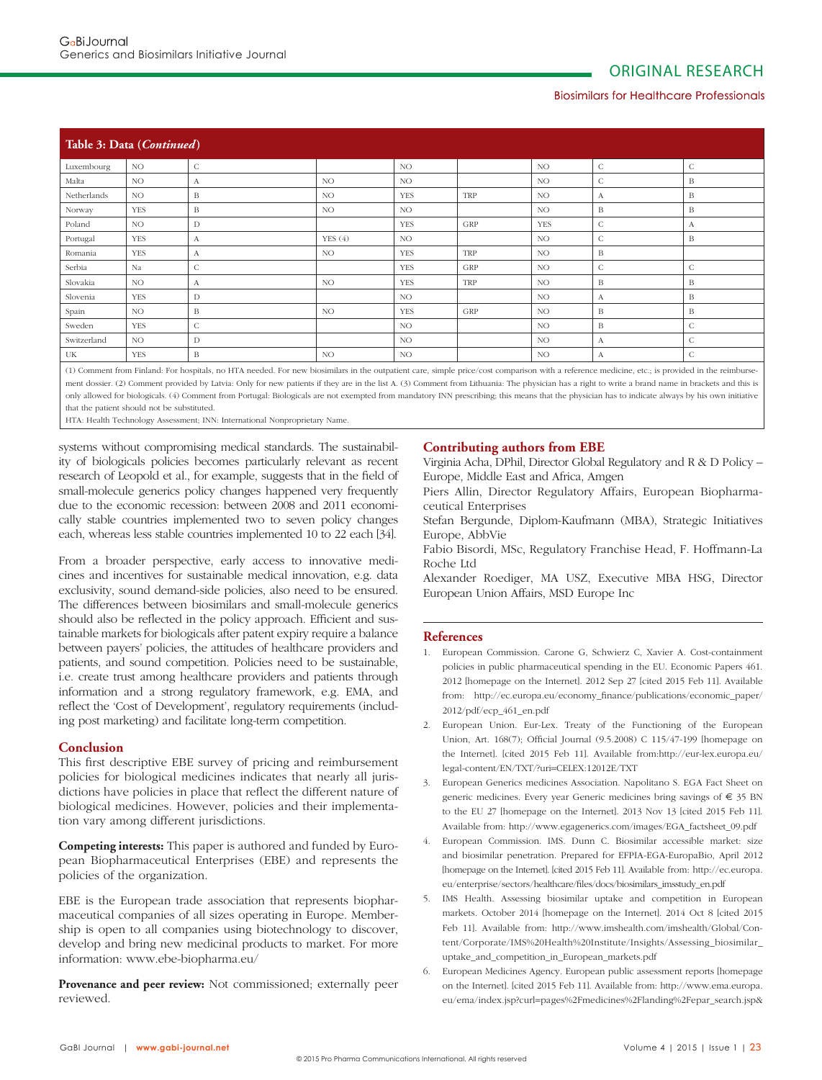#### Biosimilars for Healthcare Professionals

| Table 3: Data (Continued) |            |              |        |                 |     |            |              |              |  |  |
|---------------------------|------------|--------------|--------|-----------------|-----|------------|--------------|--------------|--|--|
| Luxembourg                | NO.        | $\mathsf{C}$ |        | <b>NO</b>       |     | NO.        | $\mathsf{C}$ | $\mathsf{C}$ |  |  |
| Malta                     | NO.        | А            | NO     | NO <sub>1</sub> |     | NO.        | C            | B            |  |  |
| Netherlands               | NO.        | B            | NO.    | <b>YES</b>      | TRP | NO.        | А            | B            |  |  |
| Norway                    | <b>YES</b> | B            | NO.    | NO.             |     | NO.        | B            | B            |  |  |
| Poland                    | NO.        | D            |        | <b>YES</b>      | GRP | <b>YES</b> | $\mathsf{C}$ | A            |  |  |
| Portugal                  | <b>YES</b> | А            | YES(4) | <b>NO</b>       |     | NO.        | C            | B            |  |  |
| Romania                   | <b>YES</b> | A            | NO.    | <b>YES</b>      | TRP | NO.        | B            |              |  |  |
| Serbia                    | Na         | $\mathsf{C}$ |        | <b>YES</b>      | GRP | NO.        | $\mathsf{C}$ | $\mathsf{C}$ |  |  |
| Slovakia                  | NO.        | А            | NO.    | <b>YES</b>      | TRP | NO.        | B            | B            |  |  |
| Slovenia                  | <b>YES</b> | D            |        | NO.             |     | NO         | А            | B            |  |  |
| Spain                     | NO.        | B            | NO.    | <b>YES</b>      | GRP | NO.        | B            | B            |  |  |
| Sweden                    | <b>YES</b> | $\mathsf{C}$ |        | NO.             |     | NO.        | B            | $\mathsf{C}$ |  |  |
| Switzerland               | NO.        | D            |        | <b>NO</b>       |     | NO.        | А            | $\mathsf{C}$ |  |  |
| UK                        | <b>YES</b> | B            | NO.    | NO.             |     | NO.        | А            | $\mathsf{C}$ |  |  |

(1) Comment from Finland: For hospitals, no HTA needed. For new biosimilars in the outpatient care, simple price/cost comparison with a reference medicine, etc.; is provided in the reimbursement dossier. (2) Comment provided by Latvia: Only for new patients if they are in the list A. (3) Comment from Lithuania: The physician has a right to write a brand name in brackets and this is only allowed for biologicals. (4) Comment from Portugal: Biologicals are not exempted from mandatory INN prescribing; this means that the physician has to indicate always by his own initiative that the patient should not be substituted.

HTA: Health Technology Assessment; INN: International Nonproprietary Name.

systems without compromising medical standards. The sustainability of biologicals policies becomes particularly relevant as recent research of Leopold et al., for example, suggests that in the field of small-molecule generics policy changes happened very frequently due to the economic recession: between 2008 and 2011 economically stable countries implemented two to seven policy changes each, whereas less stable countries implemented 10 to 22 each [34].

From a broader perspective, early access to innovative medicines and incentives for sustainable medical innovation, e.g. data exclusivity, sound demand-side policies, also need to be ensured. The differences between biosimilars and small-molecule generics should also be reflected in the policy approach. Efficient and sustainable markets for biologicals after patent expiry require a balance between payers' policies, the attitudes of healthcare providers and patients, and sound competition. Policies need to be sustainable, i.e. create trust among healthcare providers and patients through information and a strong regulatory framework, e.g. EMA, and reflect the 'Cost of Development', regulatory requirements (including post marketing) and facilitate long-term competition.

#### **Conclusion**

This first descriptive EBE survey of pricing and reimbursement policies for biological medicines indicates that nearly all jurisdictions have policies in place that reflect the different nature of biological medicines. However, policies and their implementation vary among different jurisdictions.

**Competing interests:** This paper is authored and funded by European Biopharmaceutical Enterprises (EBE) and represents the policies of the organization.

EBE is the European trade association that represents biopharmaceutical companies of all sizes operating in Europe. Membership is open to all companies using biotechnology to discover, develop and bring new medicinal products to market. For more information: www.ebe-biopharma.eu/

**Provenance and peer review:** Not commissioned; externally peer reviewed.

## **Contributing authors from EBE**

Virginia Acha, DPhil, Director Global Regulatory and R & D Policy -Europe, Middle East and Africa, Amgen

Piers Allin, Director Regulatory Affairs, European Biopharmaceutical Enterprises

Stefan Bergunde, Diplom-Kaufmann (MBA), Strategic Initiatives Europe, AbbVie

Fabio Bisordi, MSc, Regulatory Franchise Head, F. Hoffmann-La Roche Ltd

Alexander Roediger, MA USZ, Executive MBA HSG, Director European Union Affairs, MSD Europe Inc

#### **References**

- 1. European Commission. Carone G, Schwierz C, Xavier A. Cost-containment policies in public pharmaceutical spending in the EU. Economic Papers 461. 2012 [homepage on the Internet]. 2012 Sep 27 [cited 2015 Feb 11]. Available from: http://ec.europa.eu/economy\_finance/publications/economic\_paper/ 2012/pdf/ecp\_461\_en.pdf
- 2. European Union. Eur-Lex. Treaty of the Functioning of the European Union, Art. 168(7); Official Journal (9.5.2008) C 115/47-199 [homepage on the Internet]. [cited 2015 Feb 11]. Available from:http://eur-lex.europa.eu/ legal-content/EN/TXT/?uri=CELEX:12012E/TXT
- 3. European Generics medicines Association. Napolitano S. EGA Fact Sheet on generic medicines. Every year Generic medicines bring savings of € 35 BN to the EU 27 [homepage on the Internet]. 2013 Nov 13 [cited 2015 Feb 11]. Available from: http://www.egagenerics.com/images/EGA\_factsheet\_09.pdf
- 4. European Commission. IMS. Dunn C. Biosimilar accessible market: size and biosimilar penetration. Prepared for EFPIA-EGA-EuropaBio, April 2012 [homepage on the Internet]. [cited 2015 Feb 11]. Available from: http://ec.europa. eu/enterprise/sectors/healthcare/files/docs/biosimilars\_imsstudy\_en.pdf
- 5. IMS Health. Assessing biosimilar uptake and competition in European markets. October 2014 [homepage on the Internet]. 2014 Oct 8 [cited 2015 Feb 11]. Available from: http://www.imshealth.com/imshealth/Global/Content/Corporate/IMS%20Health%20Institute/Insights/Assessing\_biosimilar\_ uptake\_and\_competition\_in\_ European\_markets.pdf
- 6. European Medicines Agency. European public assessment reports [homepage on the Internet]. [cited 2015 Feb 11]. Available from: http://www.ema.europa. eu/ema/index.jsp?curl=pages%2Fmedicines%2Flanding%2Fepar\_search.jsp&